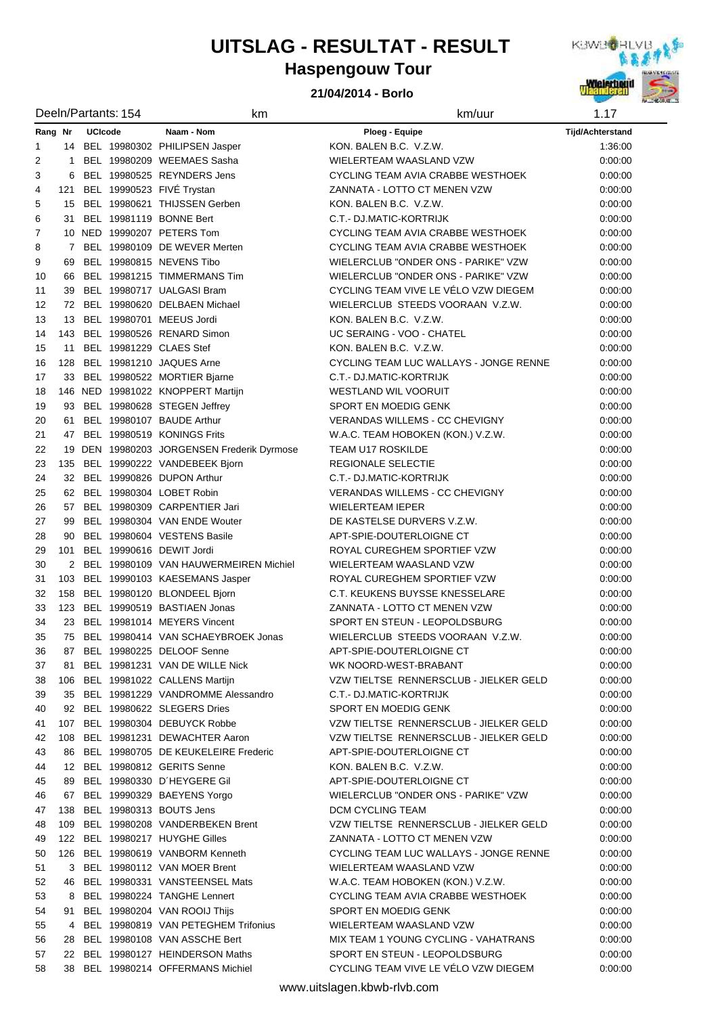# **UITSLAG - RESULTAT - RESULT**



### **21/04/2014 - Borlo**



|                | Deeln/Partants: 154       |  | km                                         | km/uur                                                           | 1.17             |
|----------------|---------------------------|--|--------------------------------------------|------------------------------------------------------------------|------------------|
|                | <b>UCIcode</b><br>Rang Nr |  | Naam - Nom                                 | Ploeg - Equipe                                                   | Tijd/Achterstand |
| 1              |                           |  | 14 BEL 19980302 PHILIPSEN Jasper           | KON. BALEN B.C. V.Z.W.                                           | 1:36:00          |
| $\overline{2}$ | 1                         |  | BEL 19980209 WEEMAES Sasha                 | WIELERTEAM WAASLAND VZW                                          | 0:00:00          |
| 3              | 6                         |  | BEL 19980525 REYNDERS Jens                 | CYCLING TEAM AVIA CRABBE WESTHOEK                                | 0:00:00          |
| 4              | 121                       |  | BEL 19990523 FIVÉ Trystan                  | ZANNATA - LOTTO CT MENEN VZW                                     | 0:00:00          |
| 5              | 15                        |  | BEL 19980621 THIJSSEN Gerben               | KON. BALEN B.C. V.Z.W.                                           | 0:00:00          |
| 6              | 31                        |  | BEL 19981119 BONNE Bert                    | C.T.- DJ.MATIC-KORTRIJK                                          | 0:00:00          |
| $\overline{7}$ |                           |  | 10 NED 19990207 PETERS Tom                 | CYCLING TEAM AVIA CRABBE WESTHOEK                                | 0:00:00          |
| 8              | $\overline{7}$            |  | BEL 19980109 DE WEVER Merten               | CYCLING TEAM AVIA CRABBE WESTHOEK                                | 0:00:00          |
| 9              | 69                        |  | BEL 19980815 NEVENS Tibo                   | WIELERCLUB "ONDER ONS - PARIKE" VZW                              | 0:00:00          |
| 10             | 66                        |  | BEL 19981215 TIMMERMANS Tim                | WIELERCLUB "ONDER ONS - PARIKE" VZW                              | 0:00:00          |
| 11             | 39                        |  | BEL 19980717 UALGASI Bram                  | CYCLING TEAM VIVE LE VÉLO VZW DIEGEM                             | 0:00:00          |
| 12             |                           |  | 72 BEL 19980620 DELBAEN Michael            | WIELERCLUB STEEDS VOORAAN V.Z.W.                                 | 0:00:00          |
| 13             | 13                        |  | BEL 19980701 MEEUS Jordi                   | KON. BALEN B.C. V.Z.W.                                           | 0:00:00          |
| 14             | 143                       |  | BEL 19980526 RENARD Simon                  | UC SERAING - VOO - CHATEL                                        | 0:00:00          |
|                |                           |  | BEL 19981229 CLAES Stef                    |                                                                  |                  |
| 15             | 11                        |  |                                            | KON. BALEN B.C. V.Z.W.<br>CYCLING TEAM LUC WALLAYS - JONGE RENNE | 0:00:00          |
| 16             | 128                       |  | BEL 19981210 JAQUES Arne                   |                                                                  | 0:00:00          |
| 17             | 33                        |  | BEL 19980522 MORTIER Bjarne                | C.T.- DJ.MATIC-KORTRIJK                                          | 0:00:00          |
| 18             |                           |  | 146 NED 19981022 KNOPPERT Martijn          | <b>WESTLAND WIL VOORUIT</b>                                      | 0:00:00          |
| 19             | 93                        |  | BEL 19980628 STEGEN Jeffrey                | SPORT EN MOEDIG GENK                                             | 0:00:00          |
| 20             | 61                        |  | BEL 19980107 BAUDE Arthur                  | <b>VERANDAS WILLEMS - CC CHEVIGNY</b>                            | 0:00:00          |
| 21             | 47                        |  | BEL 19980519 KONINGS Frits                 | W.A.C. TEAM HOBOKEN (KON.) V.Z.W.                                | 0:00:00          |
| 22             |                           |  | 19 DEN 19980203 JORGENSEN Frederik Dyrmose | <b>TEAM U17 ROSKILDE</b>                                         | 0:00:00          |
| 23             |                           |  | 135 BEL 19990222 VANDEBEEK Bjorn           | REGIONALE SELECTIE                                               | 0:00:00          |
| 24             |                           |  | 32 BEL 19990826 DUPON Arthur               | C.T.- DJ.MATIC-KORTRIJK                                          | 0:00:00          |
| 25             |                           |  | 62 BEL 19980304 LOBET Robin                | <b>VERANDAS WILLEMS - CC CHEVIGNY</b>                            | 0:00:00          |
| 26             |                           |  | 57 BEL 19980309 CARPENTIER Jari            | <b>WIELERTEAM IEPER</b>                                          | 0:00:00          |
| 27             | 99                        |  | BEL 19980304 VAN ENDE Wouter               | DE KASTELSE DURVERS V.Z.W.                                       | 0:00:00          |
| 28             | 90                        |  | BEL 19980604 VESTENS Basile                | APT-SPIE-DOUTERLOIGNE CT                                         | 0:00:00          |
| 29             | 101                       |  | BEL 19990616 DEWIT Jordi                   | ROYAL CUREGHEM SPORTIEF VZW                                      | 0:00:00          |
| 30             |                           |  | 2 BEL 19980109 VAN HAUWERMEIREN Michiel    | WIELERTEAM WAASLAND VZW                                          | 0:00:00          |
| 31             |                           |  | 103 BEL 19990103 KAESEMANS Jasper          | ROYAL CUREGHEM SPORTIEF VZW                                      | 0:00:00          |
| 32             |                           |  | 158 BEL 19980120 BLONDEEL Bjorn            | C.T. KEUKENS BUYSSE KNESSELARE                                   | 0:00:00          |
| 33             |                           |  | 123 BEL 19990519 BASTIAEN Jonas            | ZANNATA - LOTTO CT MENEN VZW                                     | 0:00:00          |
| 34             |                           |  | 23 BEL 19981014 MEYERS Vincent             | SPORT EN STEUN - LEOPOLDSBURG                                    | 0:00:00          |
| 35             |                           |  | 75 BEL 19980414 VAN SCHAEYBROEK Jonas      | WIELERCLUB STEEDS VOORAAN V.Z.W.                                 | 0:00:00          |
| 36             |                           |  | 87 BEL 19980225 DELOOF Senne               | APT-SPIE-DOUTERLOIGNE CT                                         | 0:00:00          |
| 37             |                           |  | 81 BEL 19981231 VAN DE WILLE Nick          | WK NOORD-WEST-BRABANT                                            | 0:00:00          |
| 38             |                           |  | 106 BEL 19981022 CALLENS Martijn           | VZW TIELTSE RENNERSCLUB - JIELKER GELD                           | 0:00:00          |
| 39             |                           |  | 35 BEL 19981229 VANDROMME Alessandro       | C.T.- DJ.MATIC-KORTRIJK                                          | 0.00:00          |
| 40             |                           |  | 92 BEL 19980622 SLEGERS Dries              | SPORT EN MOEDIG GENK                                             | 0:00:00          |
| 41             |                           |  | 107 BEL 19980304 DEBUYCK Robbe             | VZW TIELTSE RENNERSCLUB - JIELKER GELD                           | 0:00:00          |
| 42             |                           |  | 108 BEL 19981231 DEWACHTER Aaron           | VZW TIELTSE RENNERSCLUB - JIELKER GELD                           | 0.00:00          |
| 43             |                           |  | 86 BEL 19980705 DE KEUKELEIRE Frederic     | APT-SPIE-DOUTERLOIGNE CT                                         | 0:00:00          |
| 44             |                           |  | 12 BEL 19980812 GERITS Senne               | KON, BALEN B.C. V.Z.W.                                           | 0:00:00          |
| 45             |                           |  | 89 BEL 19980330 D'HEYGERE Gil              | APT-SPIE-DOUTERLOIGNE CT                                         | 0:00:00          |
| 46             |                           |  | 67 BEL 19990329 BAEYENS Yorgo              | WIELERCLUB "ONDER ONS - PARIKE" VZW                              | 0:00:00          |
| 47             |                           |  | 138 BEL 19980313 BOUTS Jens                | DCM CYCLING TEAM                                                 | 0:00:00          |
| 48             |                           |  | 109 BEL 19980208 VANDERBEKEN Brent         | VZW TIELTSE RENNERSCLUB - JIELKER GELD                           | 0:00:00          |
| 49             |                           |  | 122 BEL 19980217 HUYGHE Gilles             | ZANNATA - LOTTO CT MENEN VZW                                     | 0:00:00          |
| 50             |                           |  | 126 BEL 19980619 VANBORM Kenneth           | CYCLING TEAM LUC WALLAYS - JONGE RENNE                           | 0:00:00          |
| 51             | 3                         |  | BEL 19980112 VAN MOER Brent                | WIELERTEAM WAASLAND VZW                                          | 0.00:00          |
| 52             |                           |  | 46 BEL 19980331 VANSTEENSEL Mats           | W.A.C. TEAM HOBOKEN (KON.) V.Z.W.                                | 0.00:00          |
| 53             |                           |  | 8 BEL 19980224 TANGHE Lennert              | CYCLING TEAM AVIA CRABBE WESTHOEK                                | 0:00:00          |
| 54             |                           |  | 91 BEL 19980204 VAN ROOIJ Thijs            | SPORT EN MOEDIG GENK                                             | 0:00:00          |
|                |                           |  | 4 BEL 19980819 VAN PETEGHEM Trifonius      | WIELERTEAM WAASLAND VZW                                          |                  |
| 55             |                           |  |                                            | MIX TEAM 1 YOUNG CYCLING - VAHATRANS                             | 0:00:00          |
| 56             |                           |  | 28 BEL 19980108 VAN ASSCHE Bert            |                                                                  | 0:00:00          |
| 57             |                           |  | 22 BEL 19980127 HEINDERSON Maths           | SPORT EN STEUN - LEOPOLDSBURG                                    | 0:00:00          |
| 58             |                           |  | 38 BEL 19980214 OFFERMANS Michiel          | CYCLING TEAM VIVE LE VÉLO VZW DIEGEM                             | 0:00:00          |

www.uitslagen.kbwb-rlvb.com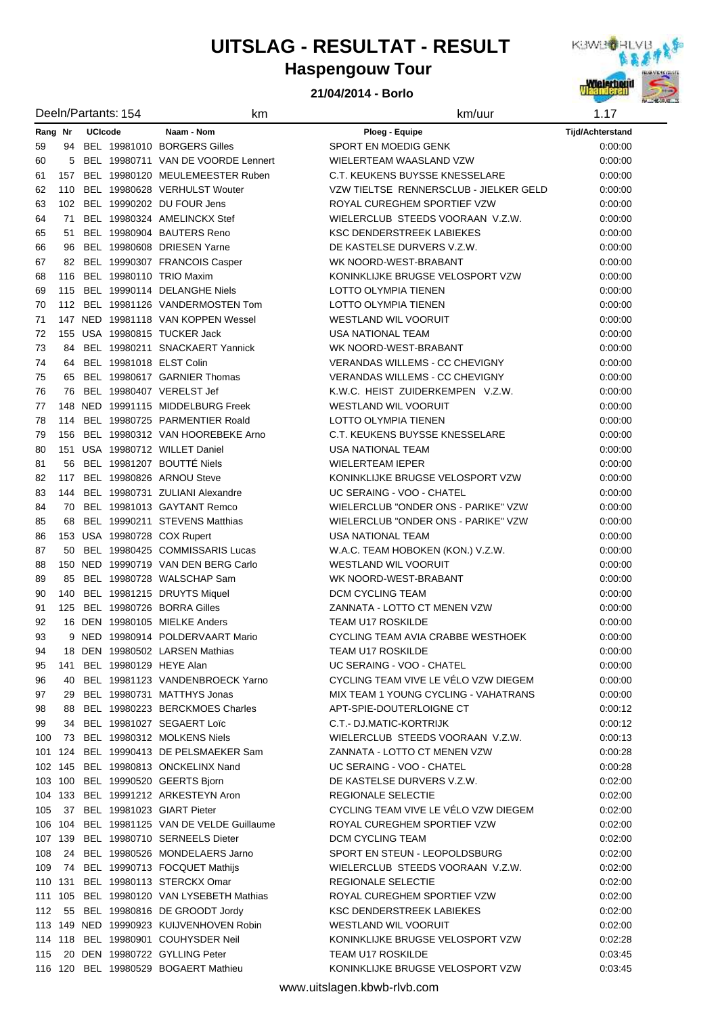# **UITSLAG - RESULTAT - RESULT**



### **21/04/2014 - Borlo**



| Deeln/Partants: 154       |         |            | km                                                                                  | km/uur                                                     | 1.17    |
|---------------------------|---------|------------|-------------------------------------------------------------------------------------|------------------------------------------------------------|---------|
| Rang Nr<br><b>UCIcode</b> |         | Naam - Nom | Ploeg - Equipe                                                                      | <b>Tijd/Achterstand</b>                                    |         |
| 59                        |         |            | 94 BEL 19981010 BORGERS Gilles                                                      | SPORT EN MOEDIG GENK                                       | 0:00:00 |
| 60                        | 5       |            | BEL 19980711 VAN DE VOORDE Lennert                                                  | WIELERTEAM WAASLAND VZW                                    | 0:00:00 |
| 61                        | 157     |            | BEL 19980120 MEULEMEESTER Ruben                                                     | C.T. KEUKENS BUYSSE KNESSELARE                             | 0:00:00 |
| 62                        |         |            | 110 BEL 19980628 VERHULST Wouter                                                    | VZW TIELTSE RENNERSCLUB - JIELKER GELD                     | 0:00:00 |
| 63                        |         |            | 102 BEL 19990202 DU FOUR Jens                                                       | ROYAL CUREGHEM SPORTIEF VZW                                | 0:00:00 |
| 64                        |         |            | 71 BEL 19980324 AMELINCKX Stef                                                      | WIELERCLUB STEEDS VOORAAN V.Z.W.                           | 0:00:00 |
| 65                        | 51      |            | BEL 19980904 BAUTERS Reno                                                           | <b>KSC DENDERSTREEK LABIEKES</b>                           | 0:00:00 |
| 66                        | 96      |            | BEL 19980608 DRIESEN Yarne                                                          | DE KASTELSE DURVERS V.Z.W.                                 | 0:00:00 |
| 67                        |         |            | 82 BEL 19990307 FRANCOIS Casper                                                     | WK NOORD-WEST-BRABANT                                      | 0:00:00 |
| 68                        |         |            | 116 BEL 19980110 TRIO Maxim                                                         | KONINKLIJKE BRUGSE VELOSPORT VZW                           | 0:00:00 |
| 69                        | 115     |            | BEL 19990114 DELANGHE Niels                                                         | LOTTO OLYMPIA TIENEN                                       | 0:00:00 |
| 70                        |         |            | 112 BEL 19981126 VANDERMOSTEN Tom                                                   | LOTTO OLYMPIA TIENEN                                       | 0.00:00 |
| 71                        |         |            | 147 NED 19981118 VAN KOPPEN Wessel                                                  | <b>WESTLAND WIL VOORUIT</b>                                | 0.00:00 |
| 72                        |         |            | 155 USA 19980815 TUCKER Jack                                                        | <b>USA NATIONAL TEAM</b>                                   | 0:00:00 |
| 73                        |         |            | 84 BEL 19980211 SNACKAERT Yannick                                                   | WK NOORD-WEST-BRABANT                                      | 0:00:00 |
| 74                        |         |            | 64 BEL 19981018 ELST Colin                                                          | <b>VERANDAS WILLEMS - CC CHEVIGNY</b>                      | 0:00:00 |
| 75                        |         |            | 65 BEL 19980617 GARNIER Thomas                                                      | <b>VERANDAS WILLEMS - CC CHEVIGNY</b>                      | 0:00:00 |
| 76                        |         |            | 76 BEL 19980407 VERELST Jef                                                         | K.W.C. HEIST ZUIDERKEMPEN V.Z.W.                           | 0:00:00 |
| 77                        |         |            | 148 NED 19991115 MIDDELBURG Freek                                                   | <b>WESTLAND WIL VOORUIT</b>                                | 0:00:00 |
| 78                        |         |            | 114 BEL 19980725 PARMENTIER Roald                                                   | LOTTO OLYMPIA TIENEN                                       | 0:00:00 |
| 79                        |         |            | 156 BEL 19980312 VAN HOOREBEKE Arno                                                 | C.T. KEUKENS BUYSSE KNESSELARE                             | 0:00:00 |
| 80                        |         |            | 151 USA 19980712 WILLET Daniel                                                      | USA NATIONAL TEAM                                          | 0:00:00 |
| 81                        |         |            | 56 BEL 19981207 BOUTTÉ Niels                                                        | <b>WIELERTEAM IEPER</b>                                    | 0:00:00 |
| 82                        | 117     |            | BEL 19980826 ARNOU Steve                                                            | KONINKLIJKE BRUGSE VELOSPORT VZW                           | 0:00:00 |
| 83                        |         |            | 144 BEL 19980731 ZULIANI Alexandre                                                  | UC SERAING - VOO - CHATEL                                  | 0:00:00 |
| 84                        |         |            | 70 BEL 19981013 GAYTANT Remco                                                       | WIELERCLUB "ONDER ONS - PARIKE" VZW                        | 0:00:00 |
| 85                        | 68      |            | BEL 19990211 STEVENS Matthias                                                       | WIELERCLUB "ONDER ONS - PARIKE" VZW                        | 0:00:00 |
| 86                        |         |            | 153 USA 19980728 COX Rupert                                                         | <b>USA NATIONAL TEAM</b>                                   | 0:00:00 |
| 87                        |         |            | 50 BEL 19980425 COMMISSARIS Lucas                                                   | W.A.C. TEAM HOBOKEN (KON.) V.Z.W.                          | 0:00:00 |
| 88                        |         |            | 150 NED 19990719 VAN DEN BERG Carlo                                                 | <b>WESTLAND WIL VOORUIT</b>                                | 0:00:00 |
| 89                        | 85      |            | BEL 19980728 WALSCHAP Sam                                                           | WK NOORD-WEST-BRABANT                                      | 0:00:00 |
| 90                        | 140     |            | BEL 19981215 DRUYTS Miquel                                                          | DCM CYCLING TEAM                                           | 0.00:00 |
| 91                        | 125     |            | BEL 19980726 BORRA Gilles                                                           | ZANNATA - LOTTO CT MENEN VZW                               | 0:00:00 |
| 92                        |         |            | 16 DEN 19980105 MIELKE Anders                                                       | <b>TEAM U17 ROSKILDE</b>                                   | 0:00:00 |
| 93                        |         |            | 9 NED 19980914 POLDERVAART Mario                                                    | CYCLING TEAM AVIA CRABBE WESTHOEK                          | 0:00:00 |
| 94                        | 18      |            | DEN 19980502 LARSEN Mathias                                                         | TEAM U17 ROSKILDE                                          | 0:00:00 |
| 95                        | 141     |            | BEL 19980129 HEYE Alan                                                              | UC SERAING - VOO - CHATEL                                  | 0.00:00 |
| 96                        | 40      |            | BEL 19981123 VANDENBROECK Yarno                                                     | CYCLING TEAM VIVE LE VÉLO VZW DIEGEM                       | 0:00:00 |
| 97                        | 29      |            | BEL 19980731 MATTHYS Jonas                                                          | MIX TEAM 1 YOUNG CYCLING - VAHATRANS                       | 0.00:00 |
| 98                        | 88      |            | BEL 19980223 BERCKMOES Charles                                                      | APT-SPIE-DOUTERLOIGNE CT                                   | 0.00.12 |
| 99                        | 34      |            | BEL 19981027 SEGAERT Loïc                                                           | C.T.- DJ.MATIC-KORTRIJK                                    | 0.00.12 |
| 100                       |         |            | 73 BEL 19980312 MOLKENS Niels                                                       | WIELERCLUB STEEDS VOORAAN V.Z.W.                           | 0.00.13 |
|                           |         |            | 101 124 BEL 19990413 DE PELSMAEKER Sam                                              | ZANNATA - LOTTO CT MENEN VZW                               | 0:00:28 |
|                           |         |            | 102 145 BEL 19980813 ONCKELINX Nand                                                 | UC SERAING - VOO - CHATEL                                  | 0:00:28 |
|                           |         |            | 103 100 BEL 19990520 GEERTS Bjorn                                                   | DE KASTELSE DURVERS V.Z.W.                                 | 0:02:00 |
|                           |         |            | 104 133 BEL 19991212 ARKESTEYN Aron                                                 | REGIONALE SELECTIE<br>CYCLING TEAM VIVE LE VÉLO VZW DIEGEM | 0:02:00 |
| 105                       |         |            | 37 BEL 19981023 GIART Pieter                                                        |                                                            | 0:02:00 |
|                           |         |            | 106 104 BEL 19981125 VAN DE VELDE Guillaume<br>107 139 BEL 19980710 SERNEELS Dieter | ROYAL CUREGHEM SPORTIEF VZW                                | 0:02:00 |
|                           |         |            |                                                                                     | DCM CYCLING TEAM                                           | 0:02:00 |
| 108                       |         |            | 24 BEL 19980526 MONDELAERS Jarno                                                    | SPORT EN STEUN - LEOPOLDSBURG                              | 0:02:00 |
| 109                       |         |            | 74 BEL 19990713 FOCQUET Mathijs                                                     | WIELERCLUB STEEDS VOORAAN V.Z.W.                           | 0:02:00 |
|                           | 110 131 |            | BEL 19980113 STERCKX Omar<br>BEL 19980120 VAN LYSEBETH Mathias                      | REGIONALE SELECTIE<br>ROYAL CUREGHEM SPORTIEF VZW          | 0:02:00 |
|                           | 111 105 |            | 55 BEL 19980816 DE GROODT Jordy                                                     | <b>KSC DENDERSTREEK LABIEKES</b>                           | 0:02:00 |
| 112                       |         |            |                                                                                     |                                                            | 0:02:00 |
|                           |         |            | 113 149 NED 19990923 KUIJVENHOVEN Robin                                             | <b>WESTLAND WIL VOORUIT</b>                                | 0:02:00 |
|                           |         |            | 114 118 BEL 19980901 COUHYSDER Neil                                                 | KONINKLIJKE BRUGSE VELOSPORT VZW                           | 0.02:28 |
| 115                       |         |            | 20 DEN 19980722 GYLLING Peter                                                       | <b>TEAM U17 ROSKILDE</b>                                   | 0:03:45 |
|                           |         |            | 116 120 BEL 19980529 BOGAERT Mathieu                                                | KONINKLIJKE BRUGSE VELOSPORT VZW                           | 0:03:45 |

www.uitslagen.kbwb-rlvb.com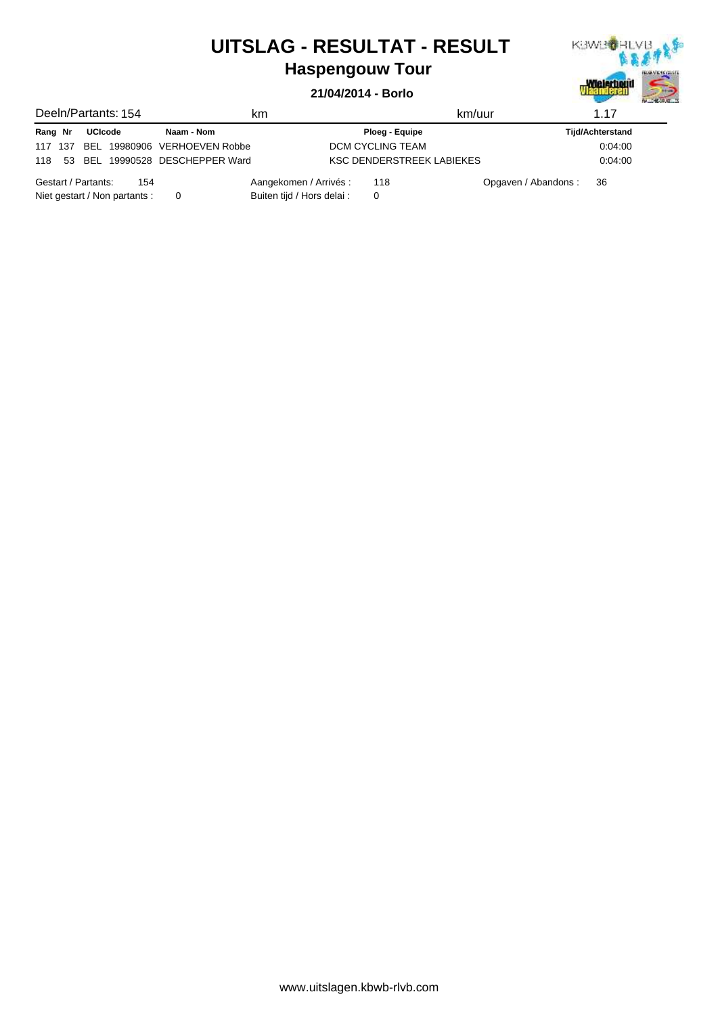## **UITSLAG - RESULTAT - RESULT**



## **Haspengouw Tour**

#### **21/04/2014 - Borlo**

|                               | Deeln/Partants: 154 |     | km                              |                               | km/uur                    |                      | 1.17                    |
|-------------------------------|---------------------|-----|---------------------------------|-------------------------------|---------------------------|----------------------|-------------------------|
| Rang Nr                       | <b>UCIcode</b>      |     | Naam - Nom                      |                               | Ploeg - Equipe            |                      | <b>Tijd/Achterstand</b> |
| 117 137                       |                     |     | BEL 19980906 VERHOEVEN Robbe    | DCM CYCLING TEAM              |                           |                      | 0.04:00                 |
| 118                           |                     |     | 53 BEL 19990528 DESCHEPPER Ward |                               | KSC DENDERSTREEK LABIEKES |                      | 0.04:00                 |
| Gestart / Partants:           |                     | 154 |                                 | Aangekomen / Arrivés :<br>118 |                           | Opgaven / Abandons : | 36                      |
| Niet gestart / Non partants : |                     |     |                                 | Buiten tijd / Hors delai :    |                           |                      |                         |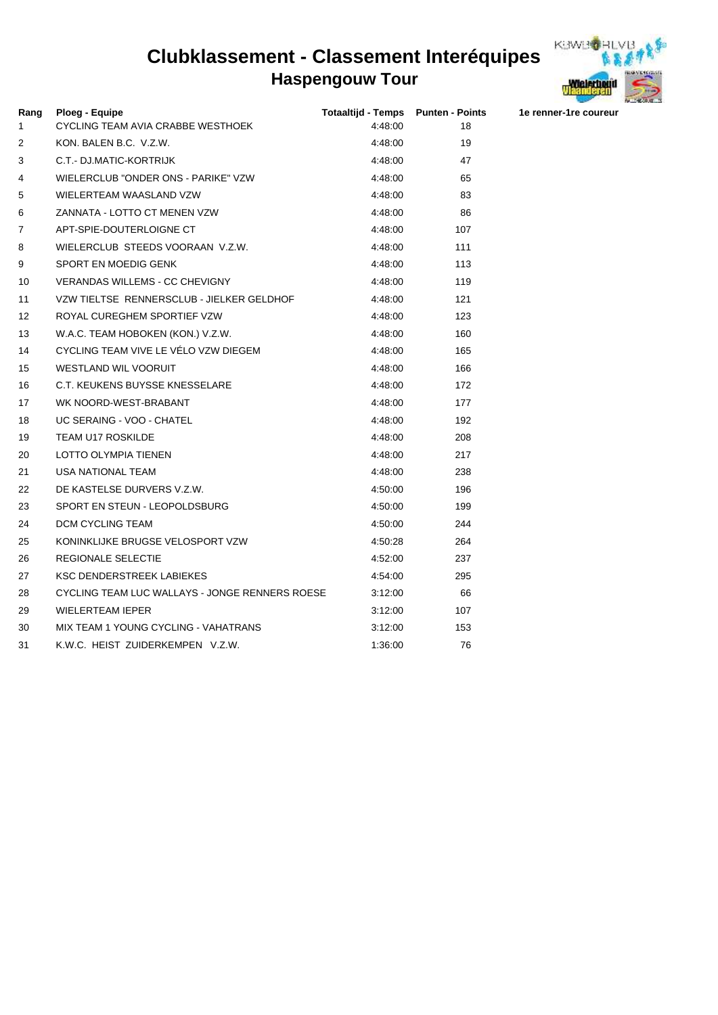### **Haspengouw Tour Clubklassement - Classement Interéquipes**



| Rang<br>1 | <b>Ploeg - Equipe</b><br>CYCLING TEAM AVIA CRABBE WESTHOEK | Totaaltijd - Temps Punten - Points<br>4:48:00 | 18  | 1e renner-1re coureur |
|-----------|------------------------------------------------------------|-----------------------------------------------|-----|-----------------------|
| 2         | KON. BALEN B.C. V.Z.W.                                     | 4:48:00                                       | 19  |                       |
| 3         | C.T.- DJ.MATIC-KORTRIJK                                    | 4:48:00                                       | 47  |                       |
| 4         | WIELERCLUB "ONDER ONS - PARIKE" VZW                        | 4:48:00                                       | 65  |                       |
| 5         | WIELERTEAM WAASLAND VZW                                    | 4:48:00                                       | 83  |                       |
| 6         | ZANNATA - LOTTO CT MENEN VZW                               | 4:48:00                                       | 86  |                       |
| 7         | APT-SPIE-DOUTERLOIGNE CT                                   | 4:48:00                                       | 107 |                       |
| 8         | WIELERCLUB STEEDS VOORAAN V.Z.W.                           | 4:48:00                                       | 111 |                       |
| 9         | SPORT EN MOEDIG GENK                                       | 4:48:00                                       | 113 |                       |
| 10        | <b>VERANDAS WILLEMS - CC CHEVIGNY</b>                      | 4:48:00                                       | 119 |                       |
| 11        | VZW TIELTSE RENNERSCLUB - JIELKER GELDHOF                  | 4:48:00                                       | 121 |                       |
| 12        | ROYAL CUREGHEM SPORTIEF VZW                                | 4:48:00                                       | 123 |                       |
| 13        | W.A.C. TEAM HOBOKEN (KON.) V.Z.W.                          | 4:48:00                                       | 160 |                       |
| 14        | CYCLING TEAM VIVE LE VÉLO VZW DIEGEM                       | 4:48:00                                       | 165 |                       |
| 15        | <b>WESTLAND WIL VOORUIT</b>                                | 4:48:00                                       | 166 |                       |
| 16        | C.T. KEUKENS BUYSSE KNESSELARE                             | 4:48:00                                       | 172 |                       |
| 17        | WK NOORD-WEST-BRABANT                                      | 4:48:00                                       | 177 |                       |
| 18        | UC SERAING - VOO - CHATEL                                  | 4:48:00                                       | 192 |                       |
| 19        | <b>TEAM U17 ROSKILDE</b>                                   | 4:48:00                                       | 208 |                       |
| 20        | <b>LOTTO OLYMPIA TIENEN</b>                                | 4:48:00                                       | 217 |                       |
| 21        | <b>USA NATIONAL TEAM</b>                                   | 4:48:00                                       | 238 |                       |
| 22        | DE KASTELSE DURVERS V.Z.W.                                 | 4:50:00                                       | 196 |                       |
| 23        | SPORT EN STEUN - LEOPOLDSBURG                              | 4:50:00                                       | 199 |                       |
| 24        | DCM CYCLING TEAM                                           | 4:50:00                                       | 244 |                       |
| 25        | KONINKLIJKE BRUGSE VELOSPORT VZW                           | 4:50:28                                       | 264 |                       |
| 26        | REGIONALE SELECTIE                                         | 4:52:00                                       | 237 |                       |
| 27        | <b>KSC DENDERSTREEK LABIEKES</b>                           | 4:54:00                                       | 295 |                       |
| 28        | CYCLING TEAM LUC WALLAYS - JONGE RENNERS ROESE             | 3.12.00                                       | 66  |                       |
| 29        | <b>WIELERTEAM IEPER</b>                                    | 3.12.00                                       | 107 |                       |
| 30        | MIX TEAM 1 YOUNG CYCLING - VAHATRANS                       | 3:12:00                                       | 153 |                       |

31 K.W.C. HEIST ZUIDERKEMPEN V.Z.W. 1:36:00 1:36:00 76